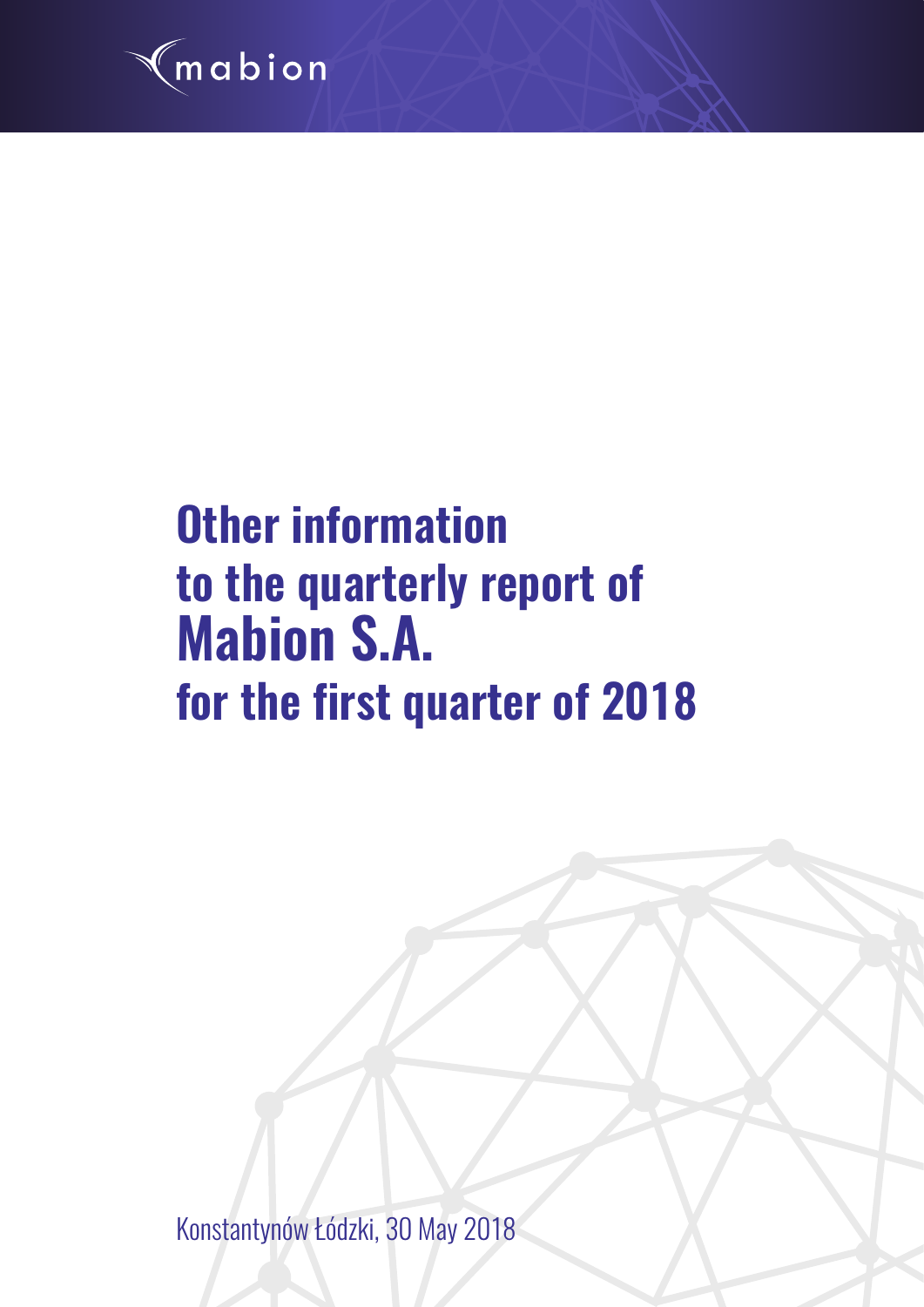

# **Other information to the quarterly report of Mabion S.A. for the first quarter of 2018**

Konstantynów Łódzki, 30 May 2018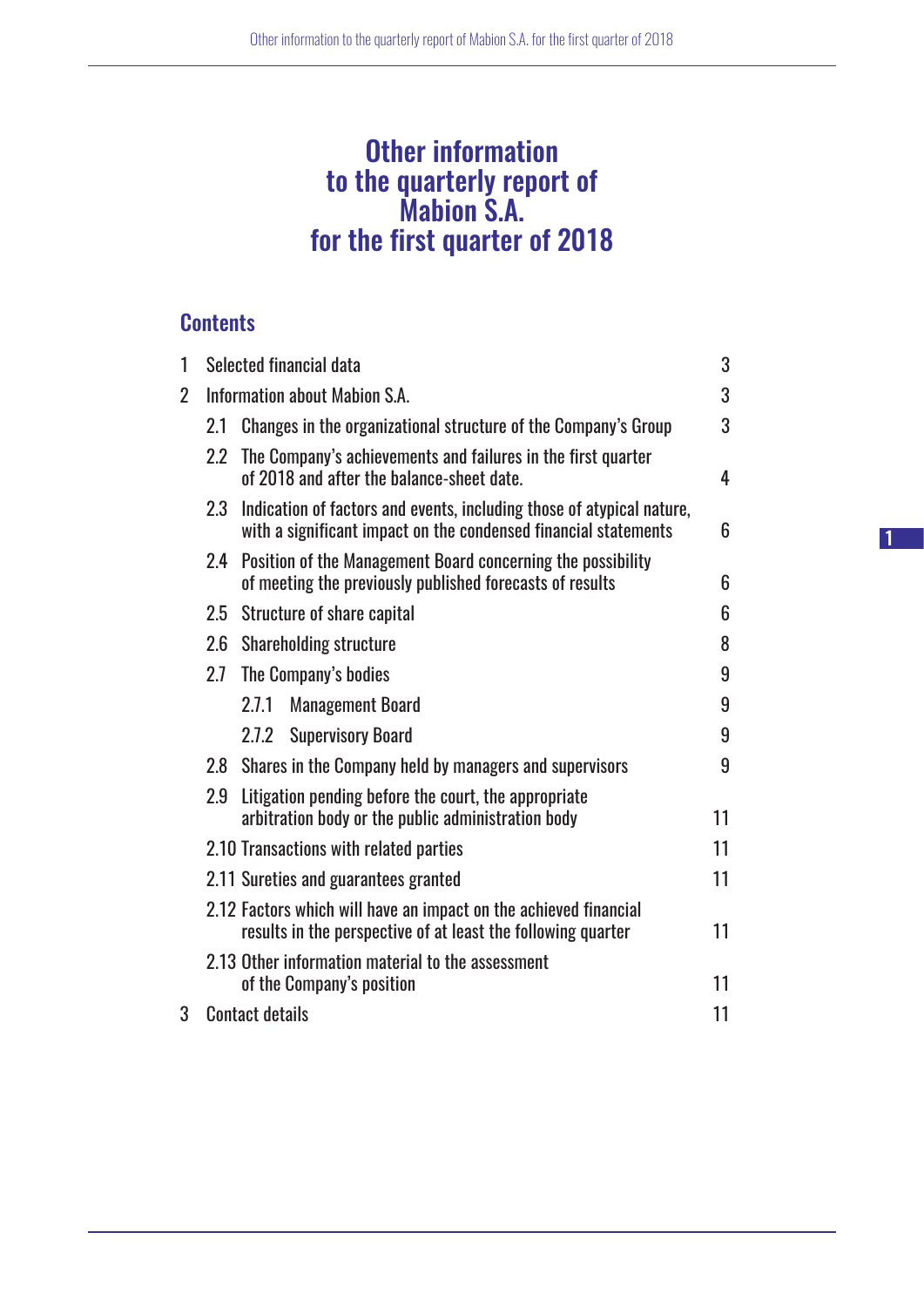## Other information to the quarterly report of Mabion S.A. for the first quarter of 2018

## **Contents**

| 1 |                              | Selected financial data<br>3                                                                                                             |    |  |  |
|---|------------------------------|------------------------------------------------------------------------------------------------------------------------------------------|----|--|--|
| 2 |                              | Information about Mabion S.A.                                                                                                            | 3  |  |  |
|   | 2.1                          | Changes in the organizational structure of the Company's Group                                                                           | 3  |  |  |
|   | $2.2\degree$                 | The Company's achievements and failures in the first quarter<br>of 2018 and after the balance-sheet date.                                | 4  |  |  |
|   | 2.3                          | Indication of factors and events, including those of atypical nature,<br>with a significant impact on the condensed financial statements | 6  |  |  |
|   | 2.4                          | Position of the Management Board concerning the possibility<br>of meeting the previously published forecasts of results                  | 6  |  |  |
|   | 2.5                          | <b>Structure of share capital</b>                                                                                                        | 6  |  |  |
|   | 2.6                          | <b>Shareholding structure</b>                                                                                                            | 8  |  |  |
|   | 2.7                          | The Company's bodies                                                                                                                     | 9  |  |  |
|   |                              | 2.7.1<br><b>Management Board</b>                                                                                                         | 9  |  |  |
|   |                              | 2.7.2<br><b>Supervisory Board</b>                                                                                                        | 9  |  |  |
|   | 2.8                          | Shares in the Company held by managers and supervisors                                                                                   | 9  |  |  |
|   | 2.9                          | Litigation pending before the court, the appropriate<br>arbitration body or the public administration body                               | 11 |  |  |
|   |                              | 2.10 Transactions with related parties                                                                                                   | 11 |  |  |
|   |                              | 2.11 Sureties and guarantees granted                                                                                                     | 11 |  |  |
|   |                              | 2.12 Factors which will have an impact on the achieved financial<br>results in the perspective of at least the following quarter         | 11 |  |  |
|   |                              | 2.13 Other information material to the assessment<br>of the Company's position                                                           | 11 |  |  |
| 3 | 11<br><b>Contact details</b> |                                                                                                                                          |    |  |  |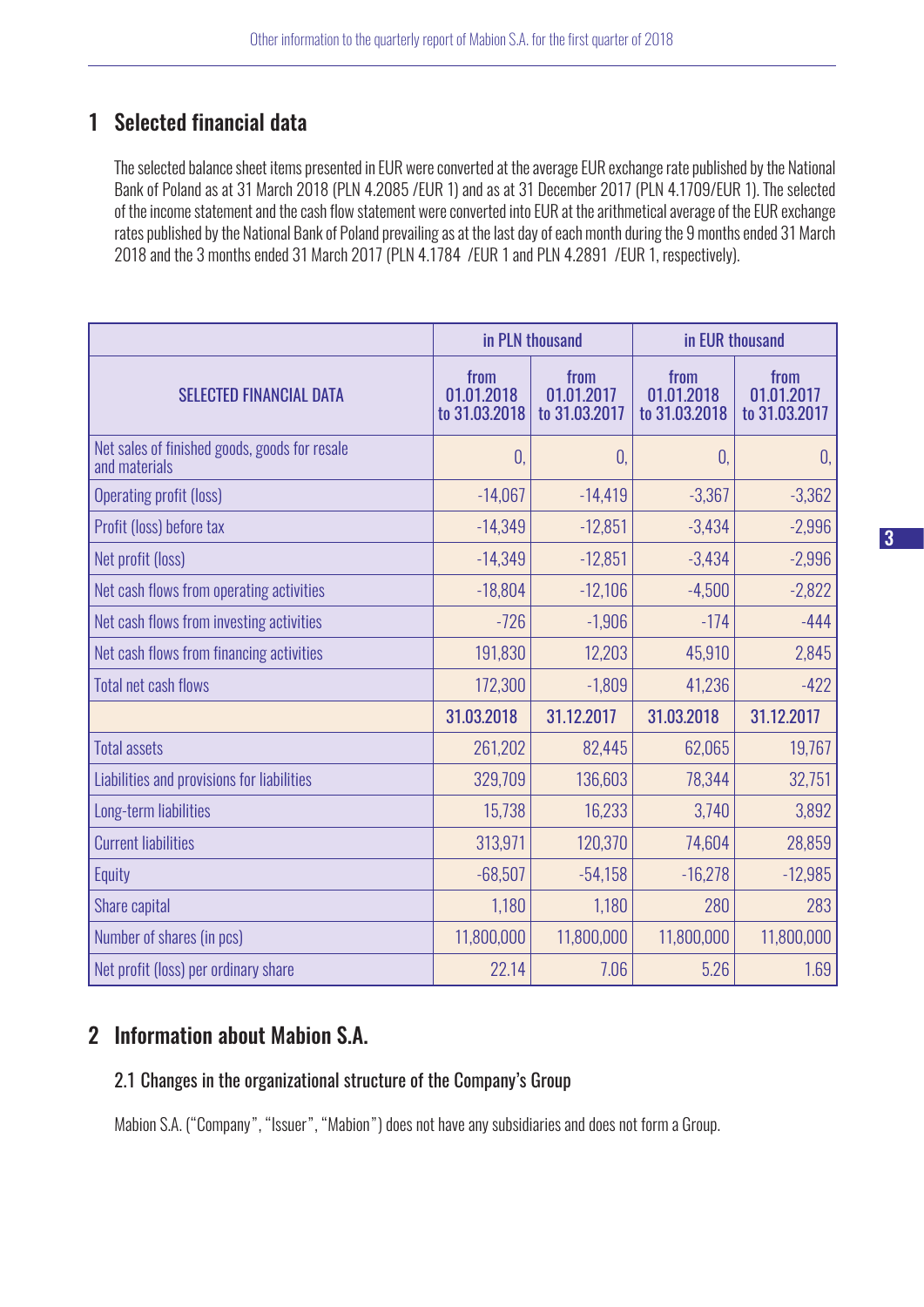## 1 Selected financial data

The selected balance sheet items presented in EUR were converted at the average EUR exchange rate published by the National Bank of Poland as at 31 March 2018 (PLN 4.2085 /EUR 1) and as at 31 December 2017 (PLN 4.1709/EUR 1). The selected of the income statement and the cash flow statement were converted into EUR at the arithmetical average of the EUR exchange rates published by the National Bank of Poland prevailing as at the last day of each month during the 9 months ended 31 March 2018 and the 3 months ended 31 March 2017 (PLN 4.1784 /EUR 1 and PLN 4.2891 /EUR 1, respectively).

|                                                                | in PLN thousand                     |                                     | in EUR thousand                     |                                     |
|----------------------------------------------------------------|-------------------------------------|-------------------------------------|-------------------------------------|-------------------------------------|
| <b>SELECTED FINANCIAL DATA</b>                                 | from<br>01.01.2018<br>to 31.03.2018 | from<br>01.01.2017<br>to 31.03.2017 | from<br>01.01.2018<br>to 31.03.2018 | from<br>01.01.2017<br>to 31.03.2017 |
| Net sales of finished goods, goods for resale<br>and materials | $\overline{0}$                      | 0.                                  | $\theta$ .                          | 0,                                  |
| <b>Operating profit (loss)</b>                                 | $-14,067$                           | $-14,419$                           | $-3,367$                            | $-3,362$                            |
| Profit (loss) before tax                                       | $-14,349$                           | $-12,851$                           | $-3,434$                            | $-2,996$                            |
| Net profit (loss)                                              | $-14,349$                           | $-12,851$                           | $-3,434$                            | $-2,996$                            |
| Net cash flows from operating activities                       | $-18,804$                           | $-12,106$                           | $-4,500$                            | $-2,822$                            |
| Net cash flows from investing activities                       | $-726$                              | $-1,906$                            | $-174$                              | $-444$                              |
| Net cash flows from financing activities                       | 191,830                             | 12,203                              | 45,910                              | 2,845                               |
| <b>Total net cash flows</b>                                    | 172,300                             | $-1,809$                            | 41,236                              | $-422$                              |
|                                                                | 31.03.2018                          | 31.12.2017                          | 31.03.2018                          | 31.12.2017                          |
| <b>Total assets</b>                                            | 261,202                             | 82,445                              | 62,065                              | 19,767                              |
| Liabilities and provisions for liabilities                     | 329,709                             | 136,603                             | 78,344                              | 32,751                              |
| Long-term liabilities                                          | 15,738                              | 16,233                              | 3,740                               | 3,892                               |
| <b>Current liabilities</b>                                     | 313,971                             | 120,370                             | 74,604                              | 28,859                              |
| Equity                                                         | $-68,507$                           | $-54,158$                           | $-16,278$                           | $-12,985$                           |
| Share capital                                                  | 1,180                               | 1,180                               | 280                                 | 283                                 |
| Number of shares (in pcs)                                      | 11,800,000                          | 11,800,000                          | 11,800,000                          | 11,800,000                          |
| Net profit (loss) per ordinary share                           | 22.14                               | 7.06                                | 5.26                                | 1.69                                |

## 2 Information about Mabion S.A.

#### 2.1 Changes in the organizational structure of the Company's Group

Mabion S.A. ("Company", "Issuer", "Mabion") does not have any subsidiaries and does not form a Group.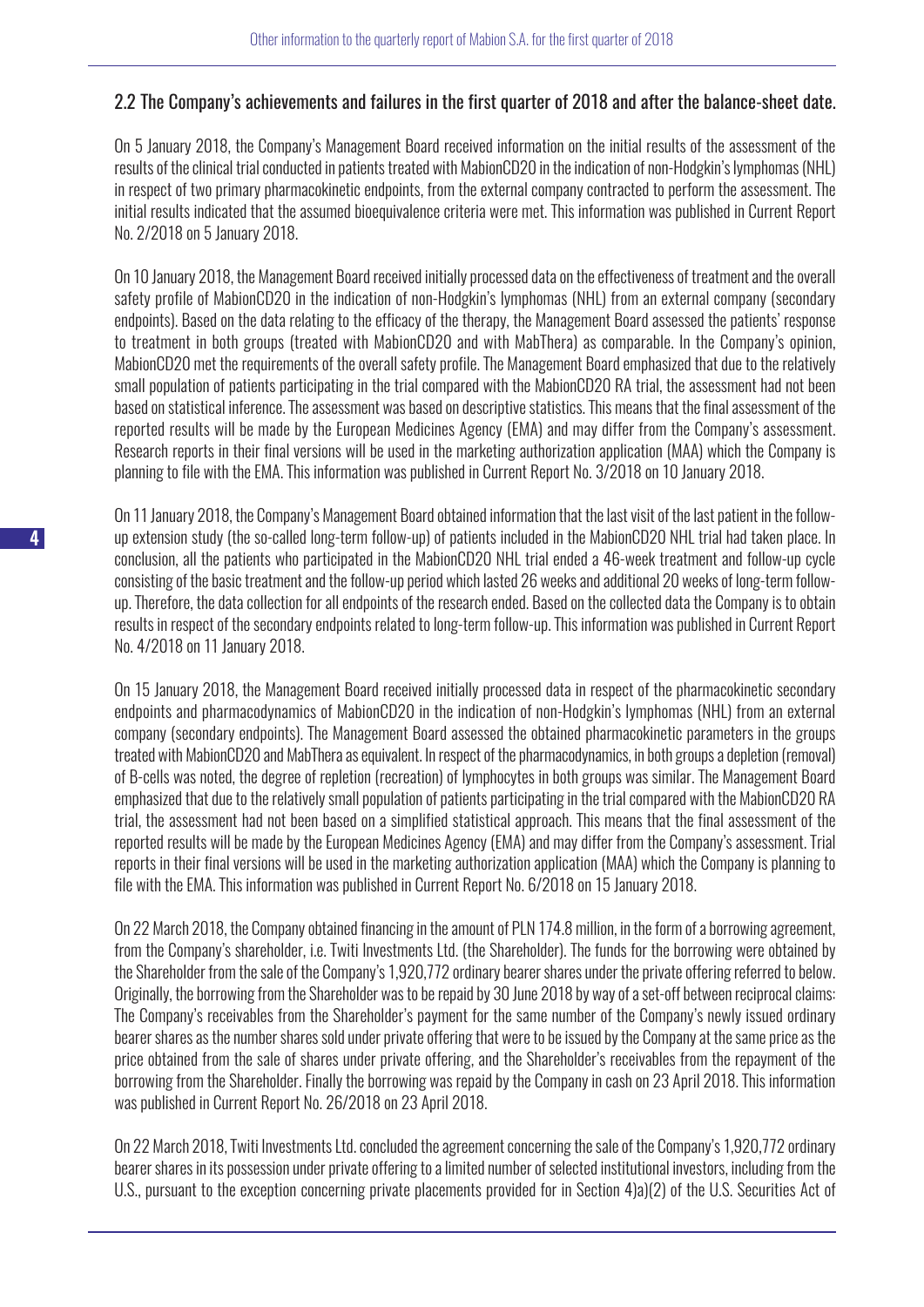#### 2.2 The Company's achievements and failures in the first quarter of 2018 and after the balance-sheet date.

On 5 January 2018, the Company's Management Board received information on the initial results of the assessment of the results of the clinical trial conducted in patients treated with MabionCD20 in the indication of non-Hodgkin's lymphomas (NHL) in respect of two primary pharmacokinetic endpoints, from the external company contracted to perform the assessment. The initial results indicated that the assumed bioequivalence criteria were met. This information was published in Current Report No. 2/2018 on 5 January 2018.

On 10 January 2018, the Management Board received initially processed data on the effectiveness of treatment and the overall safety profile of MabionCD20 in the indication of non-Hodgkin's lymphomas (NHL) from an external company (secondary endpoints). Based on the data relating to the efficacy of the therapy, the Management Board assessed the patients' response to treatment in both groups (treated with MabionCD20 and with MabThera) as comparable. In the Company's opinion, MabionCD20 met the requirements of the overall safety profile. The Management Board emphasized that due to the relatively small population of patients participating in the trial compared with the MabionCD20 RA trial, the assessment had not been based on statistical inference. The assessment was based on descriptive statistics. This means that the final assessment of the reported results will be made by the European Medicines Agency (EMA) and may differ from the Company's assessment. Research reports in their final versions will be used in the marketing authorization application (MAA) which the Company is planning to file with the EMA. This information was published in Current Report No. 3/2018 on 10 January 2018.

On 11 January 2018, the Company's Management Board obtained information that the last visit of the last patient in the followup extension study (the so-called long-term follow-up) of patients included in the MabionCD20 NHL trial had taken place. In conclusion, all the patients who participated in the MabionCD20 NHL trial ended a 46-week treatment and follow-up cycle consisting of the basic treatment and the follow-up period which lasted 26 weeks and additional 20 weeks of long-term followup. Therefore, the data collection for all endpoints of the research ended. Based on the collected data the Company is to obtain results in respect of the secondary endpoints related to long-term follow-up. This information was published in Current Report No. 4/2018 on 11 January 2018.

On 15 January 2018, the Management Board received initially processed data in respect of the pharmacokinetic secondary endpoints and pharmacodynamics of MabionCD20 in the indication of non-Hodgkin's lymphomas (NHL) from an external company (secondary endpoints). The Management Board assessed the obtained pharmacokinetic parameters in the groups treated with MabionCD20 and MabThera as equivalent. In respect of the pharmacodynamics, in both groups a depletion (removal) of B-cells was noted, the degree of repletion (recreation) of lymphocytes in both groups was similar. The Management Board emphasized that due to the relatively small population of patients participating in the trial compared with the MabionCD20 RA trial, the assessment had not been based on a simplified statistical approach. This means that the final assessment of the reported results will be made by the European Medicines Agency (EMA) and may differ from the Company's assessment. Trial reports in their final versions will be used in the marketing authorization application (MAA) which the Company is planning to file with the EMA. This information was published in Current Report No. 6/2018 on 15 January 2018.

On 22 March 2018, the Company obtained financing in the amount of PLN 174.8 million, in the form of a borrowing agreement, from the Company's shareholder, i.e. Twiti Investments Ltd. (the Shareholder). The funds for the borrowing were obtained by the Shareholder from the sale of the Company's 1,920,772 ordinary bearer shares under the private offering referred to below. Originally, the borrowing from the Shareholder was to be repaid by 30 June 2018 by way of a set-off between reciprocal claims: The Company's receivables from the Shareholder's payment for the same number of the Company's newly issued ordinary bearer shares as the number shares sold under private offering that were to be issued by the Company at the same price as the price obtained from the sale of shares under private offering, and the Shareholder's receivables from the repayment of the borrowing from the Shareholder. Finally the borrowing was repaid by the Company in cash on 23 April 2018. This information was published in Current Report No. 26/2018 on 23 April 2018.

On 22 March 2018, Twiti Investments Ltd. concluded the agreement concerning the sale of the Company's 1,920,772 ordinary bearer shares in its possession under private offering to a limited number of selected institutional investors, including from the U.S., pursuant to the exception concerning private placements provided for in Section 4)a)(2) of the U.S. Securities Act of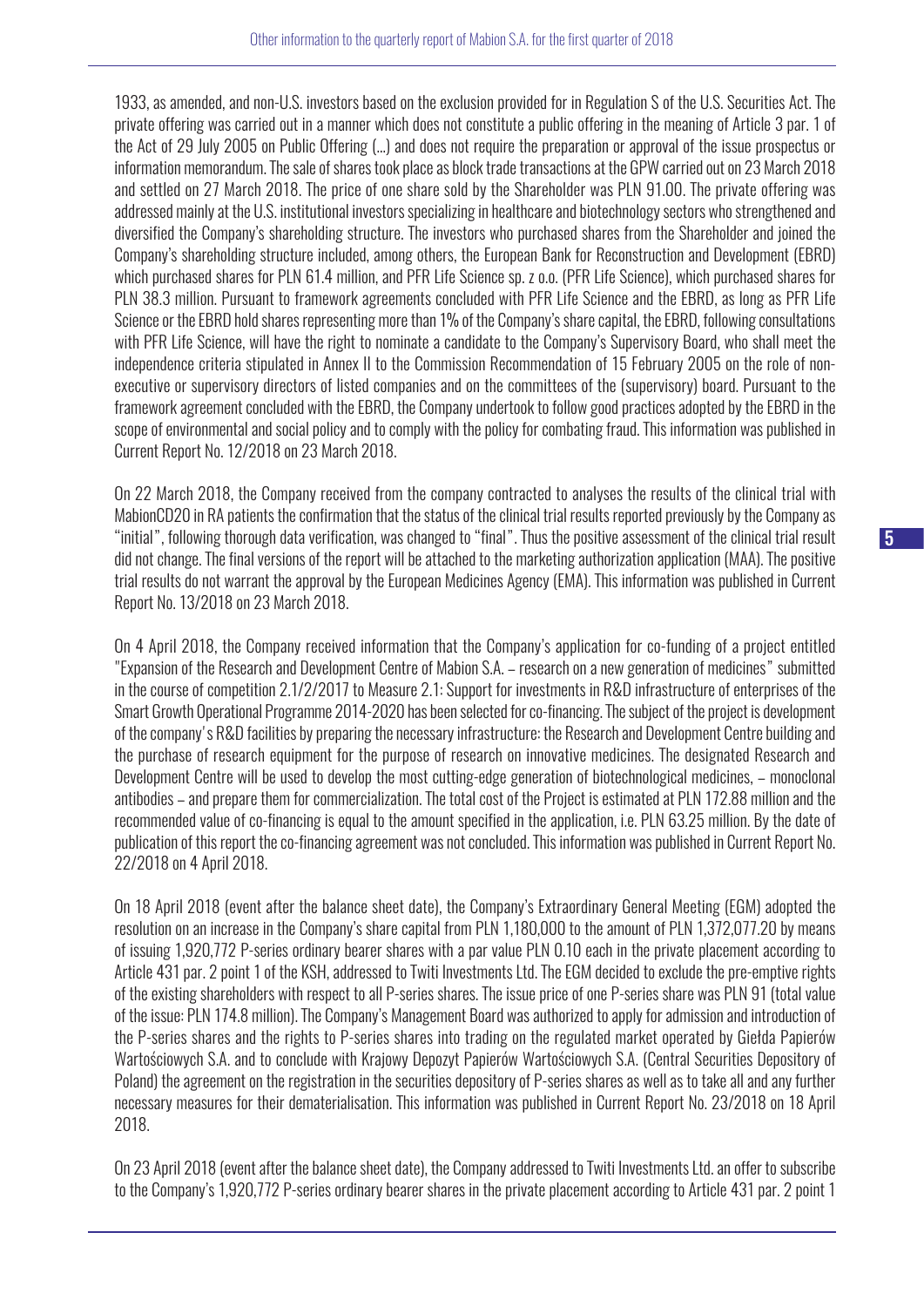1933, as amended, and non-U.S. investors based on the exclusion provided for in Regulation S of the U.S. Securities Act. The private offering was carried out in a manner which does not constitute a public offering in the meaning of Article 3 par. 1 of the Act of 29 July 2005 on Public Offering (…) and does not require the preparation or approval of the issue prospectus or information memorandum. The sale of shares took place as block trade transactions at the GPW carried out on 23 March 2018 and settled on 27 March 2018. The price of one share sold by the Shareholder was PLN 91.00. The private offering was addressed mainly at the U.S. institutional investors specializing in healthcare and biotechnology sectors who strengthened and diversified the Company's shareholding structure. The investors who purchased shares from the Shareholder and joined the Company's shareholding structure included, among others, the European Bank for Reconstruction and Development (EBRD) which purchased shares for PLN 61.4 million, and PFR Life Science sp. z o.o. (PFR Life Science), which purchased shares for PLN 38.3 million. Pursuant to framework agreements concluded with PFR Life Science and the EBRD, as long as PFR Life Science or the EBRD hold shares representing more than 1% of the Company's share capital, the EBRD, following consultations with PFR Life Science, will have the right to nominate a candidate to the Company's Supervisory Board, who shall meet the independence criteria stipulated in Annex II to the Commission Recommendation of 15 February 2005 on the role of nonexecutive or supervisory directors of listed companies and on the committees of the (supervisory) board. Pursuant to the framework agreement concluded with the EBRD, the Company undertook to follow good practices adopted by the EBRD in the scope of environmental and social policy and to comply with the policy for combating fraud. This information was published in Current Report No. 12/2018 on 23 March 2018.

On 22 March 2018, the Company received from the company contracted to analyses the results of the clinical trial with MabionCD20 in RA patients the confirmation that the status of the clinical trial results reported previously by the Company as "initial", following thorough data verification, was changed to "final". Thus the positive assessment of the clinical trial result did not change. The final versions of the report will be attached to the marketing authorization application (MAA). The positive trial results do not warrant the approval by the European Medicines Agency (EMA). This information was published in Current Report No. 13/2018 on 23 March 2018.

On 4 April 2018, the Company received information that the Company's application for co-funding of a project entitled "Expansion of the Research and Development Centre of Mabion S.A. – research on a new generation of medicines" submitted in the course of competition 2.1/2/2017 to Measure 2.1: Support for investments in R&D infrastructure of enterprises of the Smart Growth Operational Programme 2014-2020 has been selected for co-financing. The subject of the project is development of the company's R&D facilities by preparing the necessary infrastructure: the Research and Development Centre building and the purchase of research equipment for the purpose of research on innovative medicines. The designated Research and Development Centre will be used to develop the most cutting-edge generation of biotechnological medicines, – monoclonal antibodies – and prepare them for commercialization. The total cost of the Project is estimated at PLN 172.88 million and the recommended value of co-financing is equal to the amount specified in the application, i.e. PLN 63.25 million. By the date of publication of this report the co-financing agreement was not concluded. This information was published in Current Report No. 22/2018 on 4 April 2018.

On 18 April 2018 (event after the balance sheet date), the Company's Extraordinary General Meeting (EGM) adopted the resolution on an increase in the Company's share capital from PLN 1,180,000 to the amount of PLN 1,372,077.20 by means of issuing 1,920,772 P-series ordinary bearer shares with a par value PLN 0.10 each in the private placement according to Article 431 par. 2 point 1 of the KSH, addressed to Twiti Investments Ltd. The EGM decided to exclude the pre-emptive rights of the existing shareholders with respect to all P-series shares. The issue price of one P-series share was PLN 91 (total value of the issue: PLN 174.8 million). The Company's Management Board was authorized to apply for admission and introduction of the P-series shares and the rights to P-series shares into trading on the regulated market operated by Giełda Papierów Wartościowych S.A. and to conclude with Krajowy Depozyt Papierów Wartościowych S.A. (Central Securities Depository of Poland) the agreement on the registration in the securities depository of P-series shares as well as to take all and any further necessary measures for their dematerialisation. This information was published in Current Report No. 23/2018 on 18 April 2018.

On 23 April 2018 (event after the balance sheet date), the Company addressed to Twiti Investments Ltd. an offer to subscribe to the Company's 1,920,772 P-series ordinary bearer shares in the private placement according to Article 431 par. 2 point 1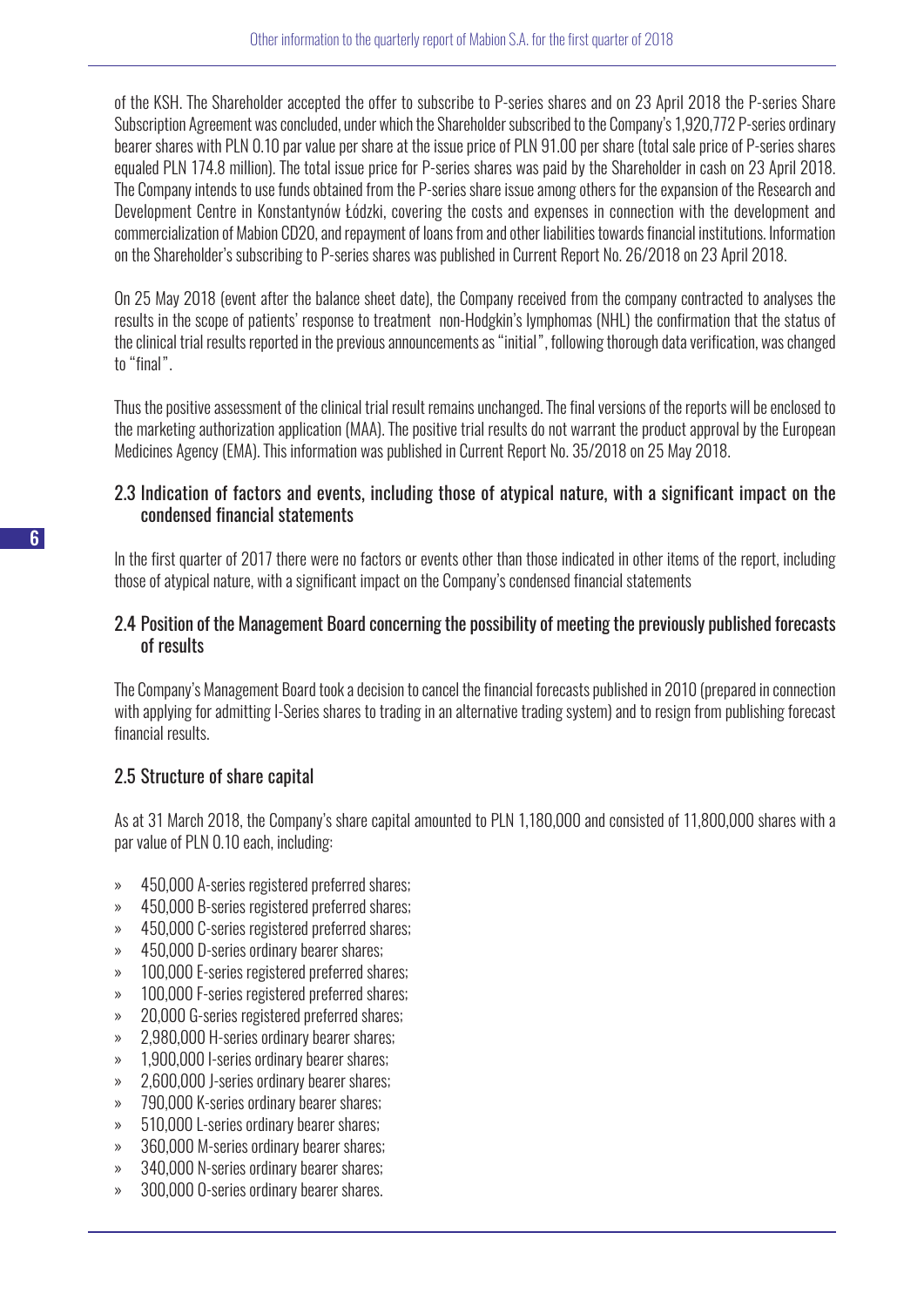of the KSH. The Shareholder accepted the offer to subscribe to P-series shares and on 23 April 2018 the P-series Share Subscription Agreement was concluded, under which the Shareholder subscribed to the Company's 1,920,772 P-series ordinary bearer shares with PLN 0.10 par value per share at the issue price of PLN 91.00 per share (total sale price of P-series shares equaled PLN 174.8 million). The total issue price for P-series shares was paid by the Shareholder in cash on 23 April 2018. The Company intends to use funds obtained from the P-series share issue among others for the expansion of the Research and Development Centre in Konstantynów Łódzki, covering the costs and expenses in connection with the development and commercialization of Mabion CD20, and repayment of loans from and other liabilities towards financial institutions. Information on the Shareholder's subscribing to P-series shares was published in Current Report No. 26/2018 on 23 April 2018.

On 25 May 2018 (event after the balance sheet date), the Company received from the company contracted to analyses the results in the scope of patients' response to treatment non-Hodgkin's lymphomas (NHL) the confirmation that the status of the clinical trial results reported in the previous announcements as "initial", following thorough data verification, was changed to "final".

Thus the positive assessment of the clinical trial result remains unchanged. The final versions of the reports will be enclosed to the marketing authorization application (MAA). The positive trial results do not warrant the product approval by the European Medicines Agency (EMA). This information was published in Current Report No. 35/2018 on 25 May 2018.

#### 2.3 Indication of factors and events, including those of atypical nature, with a significant impact on the condensed financial statements

In the first quarter of 2017 there were no factors or events other than those indicated in other items of the report, including those of atypical nature, with a significant impact on the Company's condensed financial statements

#### 2.4 Position of the Management Board concerning the possibility of meeting the previously published forecasts of results

The Company's Management Board took a decision to cancel the financial forecasts published in 2010 (prepared in connection with applying for admitting I-Series shares to trading in an alternative trading system) and to resign from publishing forecast financial results.

#### 2.5 Structure of share capital

As at 31 March 2018, the Company's share capital amounted to PLN 1,180,000 and consisted of 11,800,000 shares with a par value of PLN 0.10 each, including:

- » 450,000 A-series registered preferred shares;
- » 450,000 B-series registered preferred shares;
- » 450,000 C-series registered preferred shares;
- » 450,000 D-series ordinary bearer shares;
- » 100,000 E-series registered preferred shares;
- » 100,000 F-series registered preferred shares;
- » 20,000 G-series registered preferred shares;
- » 2,980,000 H-series ordinary bearer shares;
- » 1,900,000 I-series ordinary bearer shares;
- » 2,600,000 J-series ordinary bearer shares;
- » 790,000 K-series ordinary bearer shares;
- » 510,000 L-series ordinary bearer shares;
- » 360,000 M-series ordinary bearer shares;
- » 340,000 N-series ordinary bearer shares;
- » 300,000 O-series ordinary bearer shares.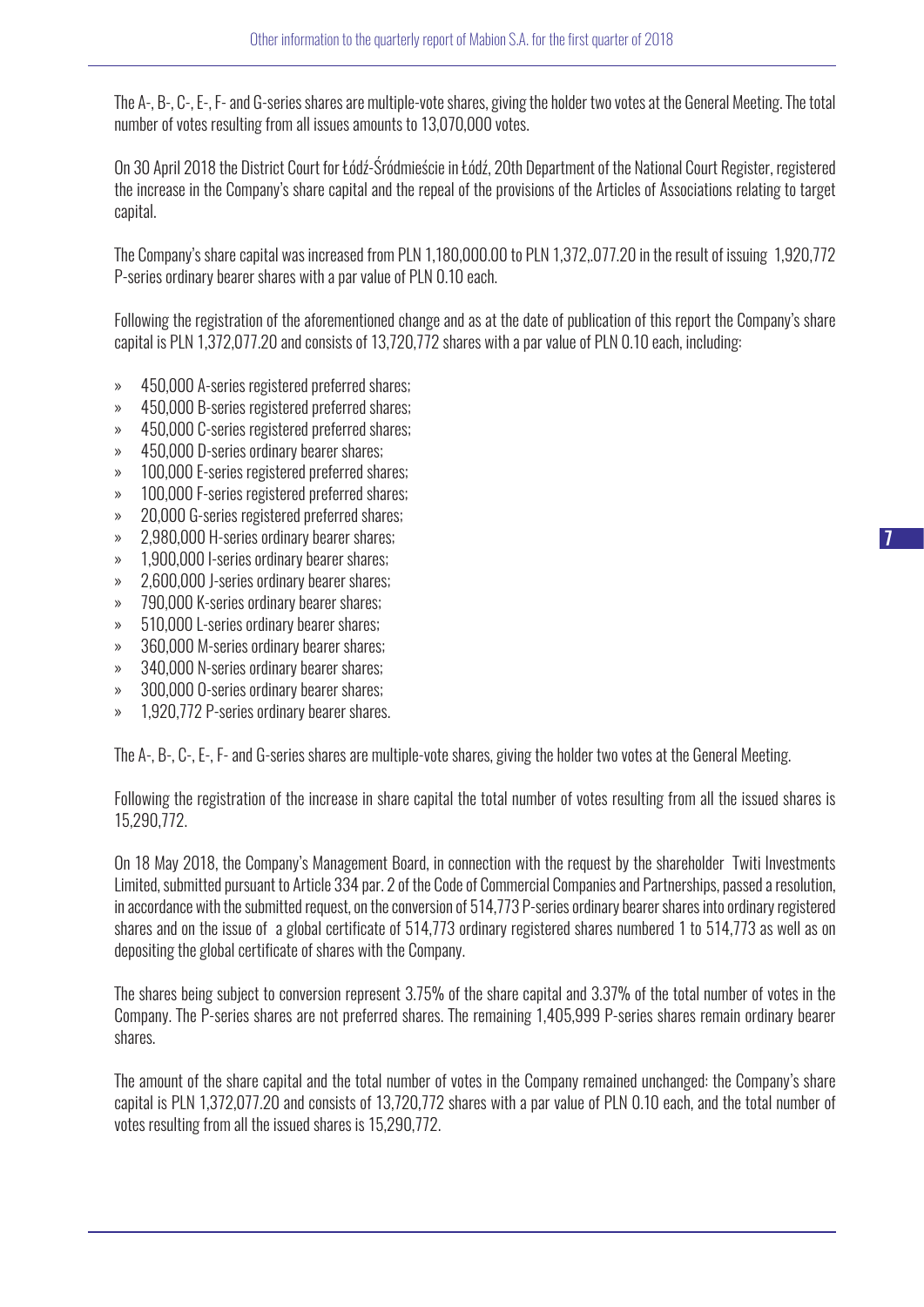The A-, B-, C-, E-, F- and G-series shares are multiple-vote shares, giving the holder two votes at the General Meeting. The total number of votes resulting from all issues amounts to 13,070,000 votes.

On 30 April 2018 the District Court for Łódź-Śródmieście in Łódź, 20th Department of the National Court Register, registered the increase in the Company's share capital and the repeal of the provisions of the Articles of Associations relating to target capital.

The Company's share capital was increased from PLN 1,180,000.00 to PLN 1,372,.077.20 in the result of issuing 1,920,772 P-series ordinary bearer shares with a par value of PLN 0.10 each.

Following the registration of the aforementioned change and as at the date of publication of this report the Company's share capital is PLN 1,372,077.20 and consists of 13,720,772 shares with a par value of PLN 0.10 each, including:

- » 450,000 A-series registered preferred shares;
- » 450,000 B-series registered preferred shares;
- » 450,000 C-series registered preferred shares;
- » 450,000 D-series ordinary bearer shares;
- » 100,000 E-series registered preferred shares;
- » 100,000 F-series registered preferred shares;
- » 20,000 G-series registered preferred shares;
- » 2,980,000 H-series ordinary bearer shares;
- » 1,900,000 I-series ordinary bearer shares;
- » 2,600,000 J-series ordinary bearer shares;
- » 790,000 K-series ordinary bearer shares;
- » 510,000 L-series ordinary bearer shares;
- » 360,000 M-series ordinary bearer shares;
- » 340,000 N-series ordinary bearer shares;
- » 300,000 O-series ordinary bearer shares;
- » 1,920,772 P-series ordinary bearer shares.

The A-, B-, C-, E-, F- and G-series shares are multiple-vote shares, giving the holder two votes at the General Meeting.

Following the registration of the increase in share capital the total number of votes resulting from all the issued shares is 15,290,772.

On 18 May 2018, the Company's Management Board, in connection with the request by the shareholder Twiti Investments Limited, submitted pursuant to Article 334 par. 2 of the Code of Commercial Companies and Partnerships, passed a resolution, in accordance with the submitted request, on the conversion of 514,773 P-series ordinary bearer shares into ordinary registered shares and on the issue of a global certificate of 514,773 ordinary registered shares numbered 1 to 514,773 as well as on depositing the global certificate of shares with the Company.

The shares being subject to conversion represent 3.75% of the share capital and 3.37% of the total number of votes in the Company. The P-series shares are not preferred shares. The remaining 1,405,999 P-series shares remain ordinary bearer shares.

The amount of the share capital and the total number of votes in the Company remained unchanged: the Company's share capital is PLN 1,372,077.20 and consists of 13,720,772 shares with a par value of PLN 0.10 each, and the total number of votes resulting from all the issued shares is 15,290,772.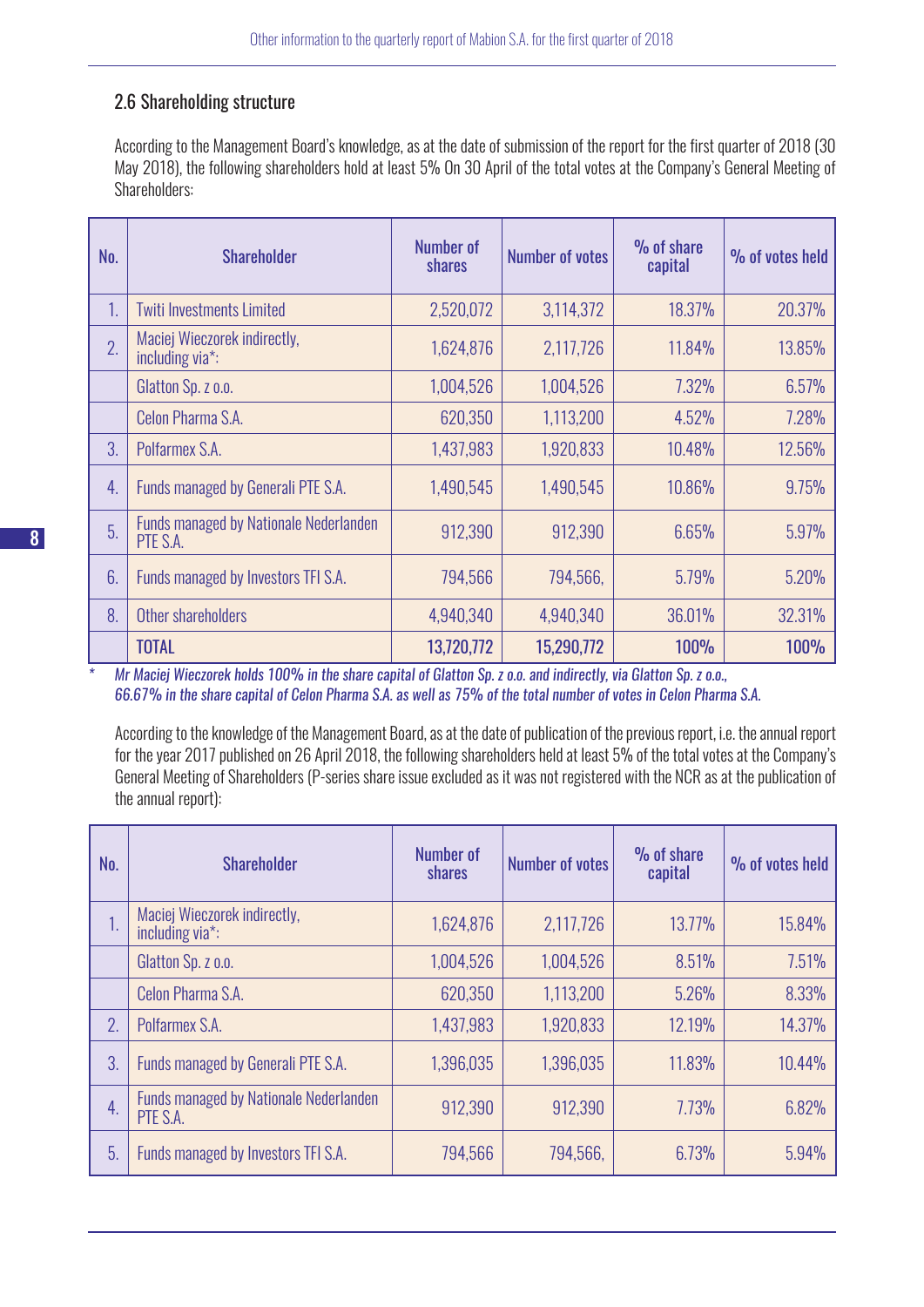#### 2.6 Shareholding structure

According to the Management Board's knowledge, as at the date of submission of the report for the first quarter of 2018 (30 May 2018), the following shareholders hold at least 5% On 30 April of the total votes at the Company's General Meeting of Shareholders:

| No. | <b>Shareholder</b>                                        | <b>Number of</b><br>shares | <b>Number of votes</b> | % of share<br>capital | % of votes held |
|-----|-----------------------------------------------------------|----------------------------|------------------------|-----------------------|-----------------|
| 1.  | <b>Twiti Investments Limited</b>                          | 2,520,072                  | 3,114,372              | 18.37%                | 20.37%          |
| 2.  | Maciej Wieczorek indirectly,<br>including via*:           | 1,624,876                  | 2,117,726              | 11.84%                | 13.85%          |
|     | Glatton Sp. z o.o.                                        | 1,004,526                  | 1,004,526              | 7.32%                 | 6.57%           |
|     | Celon Pharma S.A.                                         | 620,350                    | 1,113,200              | 4.52%                 | 7.28%           |
| 3.  | Polfarmex S.A.                                            | 1,437,983                  | 1,920,833              | 10.48%                | 12.56%          |
| 4.  | Funds managed by Generali PTE S.A.                        | 1,490,545                  | 1,490,545              | 10.86%                | 9.75%           |
| 5.  | <b>Funds managed by Nationale Nederlanden</b><br>PTE S.A. | 912,390                    | 912,390                | 6.65%                 | 5.97%           |
| 6.  | Funds managed by Investors TFI S.A.                       | 794,566                    | 794,566,               | 5.79%                 | 5.20%           |
| 8.  | Other shareholders                                        | 4,940,340                  | 4,940,340              | 36.01%                | 32.31%          |
|     | <b>TOTAL</b>                                              | 13,720,772                 | 15,290,772             | <b>100%</b>           | <b>100%</b>     |

*\* Mr Maciej Wieczorek holds 100% in the share capital of Glatton Sp. z o.o. and indirectly, via Glatton Sp. z o.o., 66.67% in the share capital of Celon Pharma S.A. as well as 75% of the total number of votes in Celon Pharma S.A.*

According to the knowledge of the Management Board, as at the date of publication of the previous report, i.e. the annual report for the year 2017 published on 26 April 2018, the following shareholders held at least 5% of the total votes at the Company's General Meeting of Shareholders (P-series share issue excluded as it was not registered with the NCR as at the publication of the annual report):

| No. | <b>Shareholder</b>                                        | Number of<br>shares | <b>Number of votes</b> | % of share<br>capital | % of votes held |
|-----|-----------------------------------------------------------|---------------------|------------------------|-----------------------|-----------------|
| 1.  | Maciej Wieczorek indirectly,<br>including via*:           | 1,624,876           | 2,117,726              | 13.77%                | 15.84%          |
|     | Glatton Sp. z o.o.                                        | 1,004,526           | 1,004,526              | 8.51%                 | 7.51%           |
|     | Celon Pharma S.A.                                         | 620,350             | 1,113,200              | 5.26%                 | 8.33%           |
| 2.  | Polfarmex S.A.                                            | 1,437,983           | 1,920,833              | 12.19%                | 14.37%          |
| 3.  | Funds managed by Generali PTE S.A.                        | 1,396,035           | 1,396,035              | 11.83%                | 10.44%          |
| 4.  | <b>Funds managed by Nationale Nederlanden</b><br>PTE S.A. | 912,390             | 912,390                | 7.73%                 | 6.82%           |
| 5.  | Funds managed by Investors TFI S.A.                       | 794,566             | 794,566,               | 6.73%                 | 5.94%           |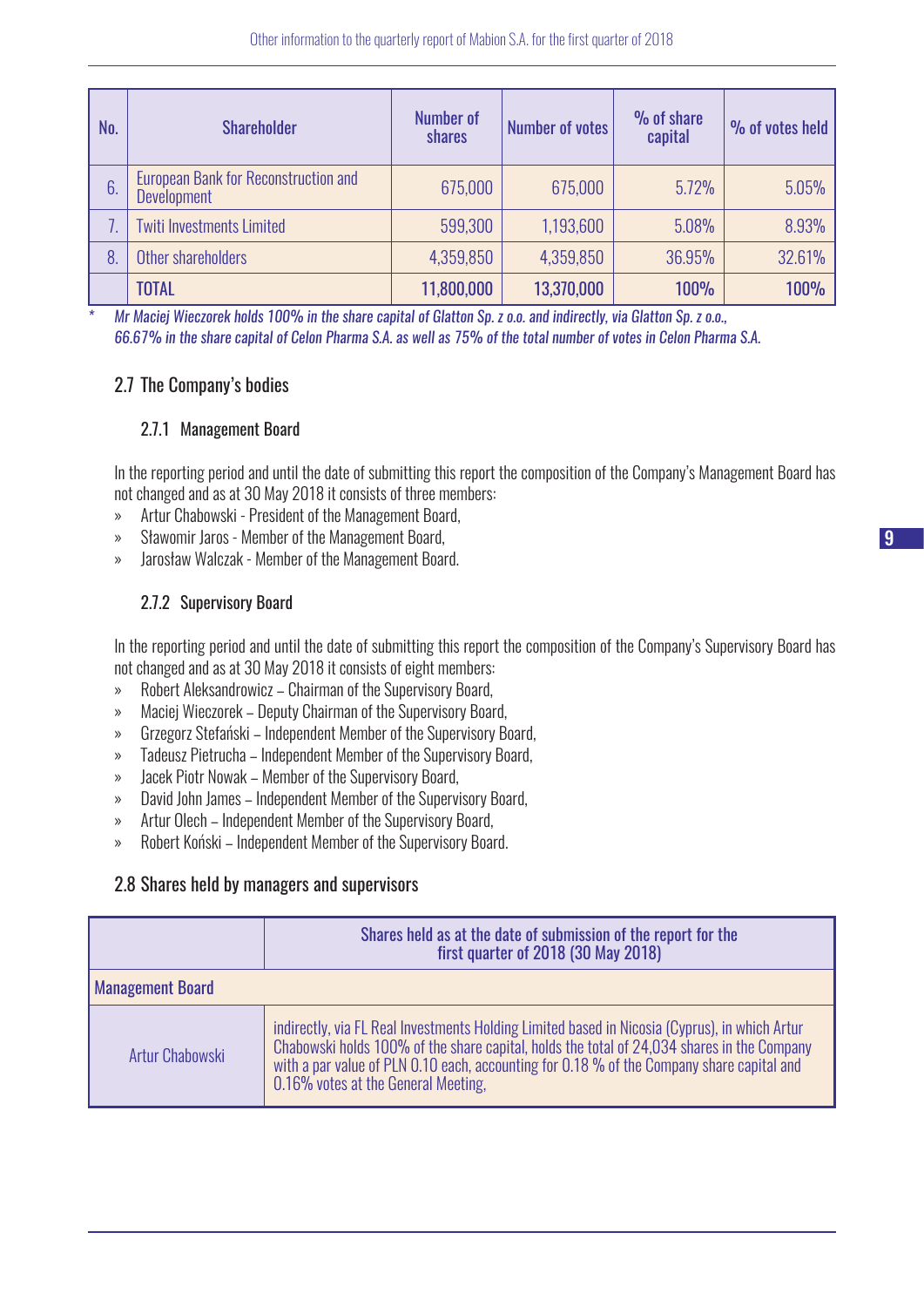| No. | <b>Shareholder</b>                                                | <b>Number of</b><br>shares | <b>Number of votes</b> | % of share<br>capital | % of votes held |
|-----|-------------------------------------------------------------------|----------------------------|------------------------|-----------------------|-----------------|
| 6.  | <b>European Bank for Reconstruction and</b><br><b>Development</b> | 675,000                    | 675,000                | 5.72%                 | 5.05%           |
|     | <b>Twiti Investments Limited</b>                                  | 599,300                    | 1,193,600              | 5.08%                 | 8.93%           |
| 8   | Other shareholders                                                | 4,359,850                  | 4,359,850              | 36.95%                | 32.61%          |
|     | <b>TOTAL</b>                                                      | 11,800,000                 | 13,370,000             | <b>100%</b>           | <b>100%</b>     |

*\* Mr Maciej Wieczorek holds 100% in the share capital of Glatton Sp. z o.o. and indirectly, via Glatton Sp. z o.o., 66.67% in the share capital of Celon Pharma S.A. as well as 75% of the total number of votes in Celon Pharma S.A.*

#### 2.7 The Company's bodies

#### 2.7.1 Management Board

In the reporting period and until the date of submitting this report the composition of the Company's Management Board has not changed and as at 30 May 2018 it consists of three members:

- » Artur Chabowski President of the Management Board,
- » Sławomir Jaros Member of the Management Board,
- » Jarosław Walczak Member of the Management Board.

#### 2.7.2 Supervisory Board

In the reporting period and until the date of submitting this report the composition of the Company's Supervisory Board has not changed and as at 30 May 2018 it consists of eight members:

- » Robert Aleksandrowicz Chairman of the Supervisory Board,
- » Maciej Wieczorek Deputy Chairman of the Supervisory Board,
- » Grzegorz Stefański Independent Member of the Supervisory Board,
- » Tadeusz Pietrucha Independent Member of the Supervisory Board,
- » Jacek Piotr Nowak Member of the Supervisory Board,
- » David John James Independent Member of the Supervisory Board,
- » Artur Olech Independent Member of the Supervisory Board,
- » Robert Koński Independent Member of the Supervisory Board.

#### 2.8 Shares held by managers and supervisors

|                         | Shares held as at the date of submission of the report for the<br>first quarter of 2018 (30 May 2018)                                                                                                                                                                                                                           |
|-------------------------|---------------------------------------------------------------------------------------------------------------------------------------------------------------------------------------------------------------------------------------------------------------------------------------------------------------------------------|
| <b>Management Board</b> |                                                                                                                                                                                                                                                                                                                                 |
| Artur Chabowski         | indirectly, via FL Real Investments Holding Limited based in Nicosia (Cyprus), in which Artur<br>Chabowski holds 100% of the share capital, holds the total of 24,034 shares in the Company<br>with a par value of PLN 0.10 each, accounting for 0.18 % of the Company share capital and<br>0.16% votes at the General Meeting, |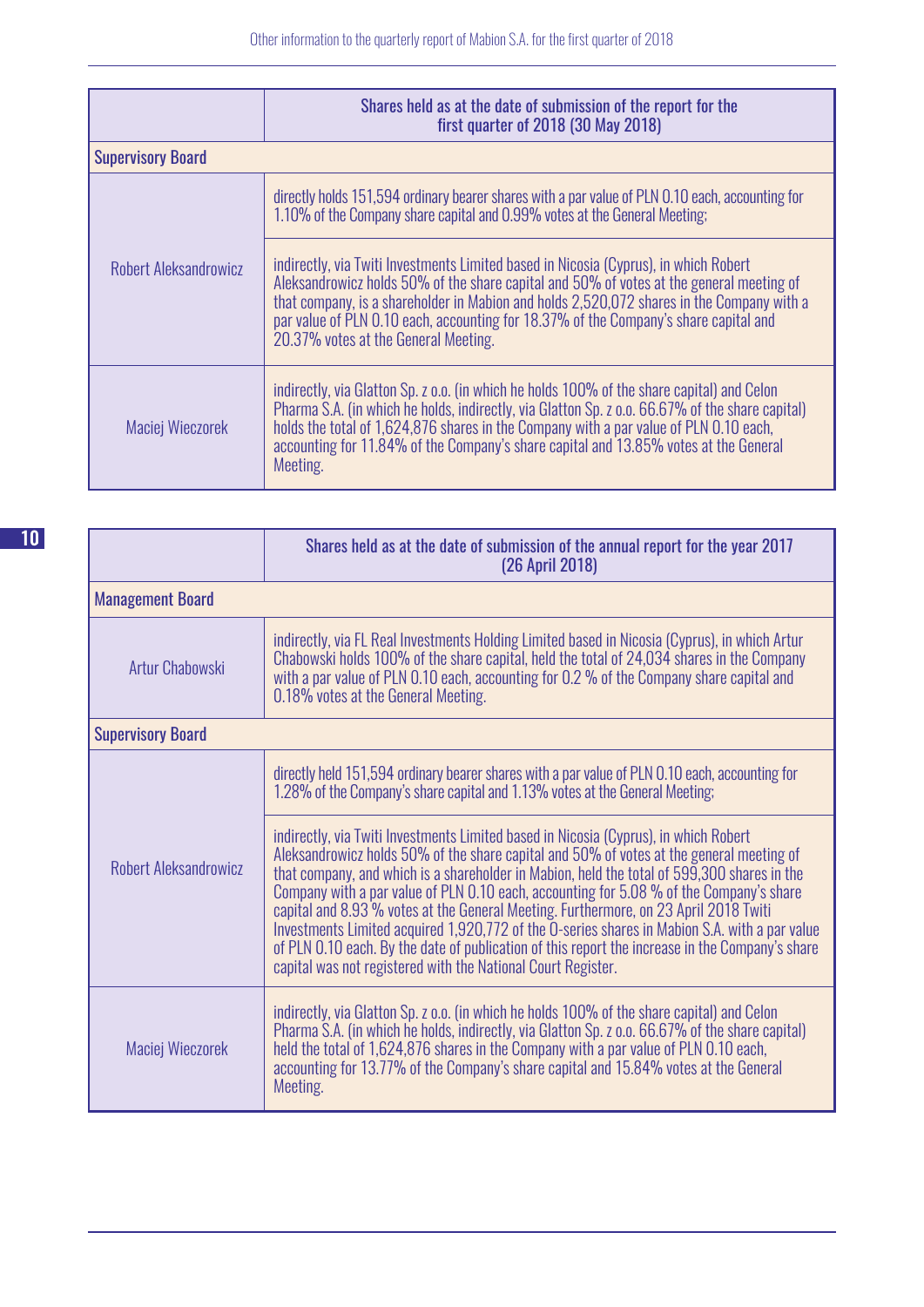|                          | Shares held as at the date of submission of the report for the<br>first quarter of 2018 (30 May 2018)                                                                                                                                                                                                                                                                                                         |
|--------------------------|---------------------------------------------------------------------------------------------------------------------------------------------------------------------------------------------------------------------------------------------------------------------------------------------------------------------------------------------------------------------------------------------------------------|
| <b>Supervisory Board</b> |                                                                                                                                                                                                                                                                                                                                                                                                               |
|                          | directly holds 151,594 ordinary bearer shares with a par value of PLN 0.10 each, accounting for<br>1.10% of the Company share capital and 0.99% votes at the General Meeting;                                                                                                                                                                                                                                 |
| Robert Aleksandrowicz    | indirectly, via Twiti Investments Limited based in Nicosia (Cyprus), in which Robert<br>Aleksandrowicz holds 50% of the share capital and 50% of votes at the general meeting of<br>that company, is a shareholder in Mabion and holds 2,520,072 shares in the Company with a<br>par value of PLN 0.10 each, accounting for 18.37% of the Company's share capital and<br>20.37% votes at the General Meeting. |
| Maciej Wieczorek         | indirectly, via Glatton Sp. z o.o. (in which he holds 100% of the share capital) and Celon<br>Pharma S.A. (in which he holds, indirectly, via Glatton Sp. z o.o. 66.67% of the share capital)<br>holds the total of 1,624,876 shares in the Company with a par value of PLN 0.10 each,<br>accounting for 11.84% of the Company's share capital and 13.85% votes at the General<br>Meeting.                    |

|                          | Shares held as at the date of submission of the annual report for the year 2017<br>(26 April 2018)                                                                                                                                                                                                                                                                                                                                                                                                                                                                                                                                                                                                                                    |
|--------------------------|---------------------------------------------------------------------------------------------------------------------------------------------------------------------------------------------------------------------------------------------------------------------------------------------------------------------------------------------------------------------------------------------------------------------------------------------------------------------------------------------------------------------------------------------------------------------------------------------------------------------------------------------------------------------------------------------------------------------------------------|
| <b>Management Board</b>  |                                                                                                                                                                                                                                                                                                                                                                                                                                                                                                                                                                                                                                                                                                                                       |
| Artur Chabowski          | indirectly, via FL Real Investments Holding Limited based in Nicosia (Cyprus), in which Artur<br>Chabowski holds 100% of the share capital, held the total of 24,034 shares in the Company<br>with a par value of PLN 0.10 each, accounting for 0.2 % of the Company share capital and<br>0.18% votes at the General Meeting.                                                                                                                                                                                                                                                                                                                                                                                                         |
| <b>Supervisory Board</b> |                                                                                                                                                                                                                                                                                                                                                                                                                                                                                                                                                                                                                                                                                                                                       |
|                          | directly held 151,594 ordinary bearer shares with a par value of PLN 0.10 each, accounting for<br>1.28% of the Company's share capital and 1.13% votes at the General Meeting;                                                                                                                                                                                                                                                                                                                                                                                                                                                                                                                                                        |
| Robert Aleksandrowicz    | indirectly, via Twiti Investments Limited based in Nicosia (Cyprus), in which Robert<br>Aleksandrowicz holds 50% of the share capital and 50% of votes at the general meeting of<br>that company, and which is a shareholder in Mabion, held the total of 599,300 shares in the<br>Company with a par value of PLN 0.10 each, accounting for 5.08 % of the Company's share<br>capital and 8.93% votes at the General Meeting. Furthermore, on 23 April 2018 Twiti<br>Investments Limited acquired 1,920,772 of the O-series shares in Mabion S.A. with a par value<br>of PLN 0.10 each. By the date of publication of this report the increase in the Company's share<br>capital was not registered with the National Court Register. |
| Maciej Wieczorek         | indirectly, via Glatton Sp. z o.o. (in which he holds 100% of the share capital) and Celon<br>Pharma S.A. (in which he holds, indirectly, via Glatton Sp. z o.o. 66.67% of the share capital)<br>held the total of 1,624,876 shares in the Company with a par value of PLN 0.10 each,<br>accounting for 13.77% of the Company's share capital and 15.84% votes at the General<br>Meeting.                                                                                                                                                                                                                                                                                                                                             |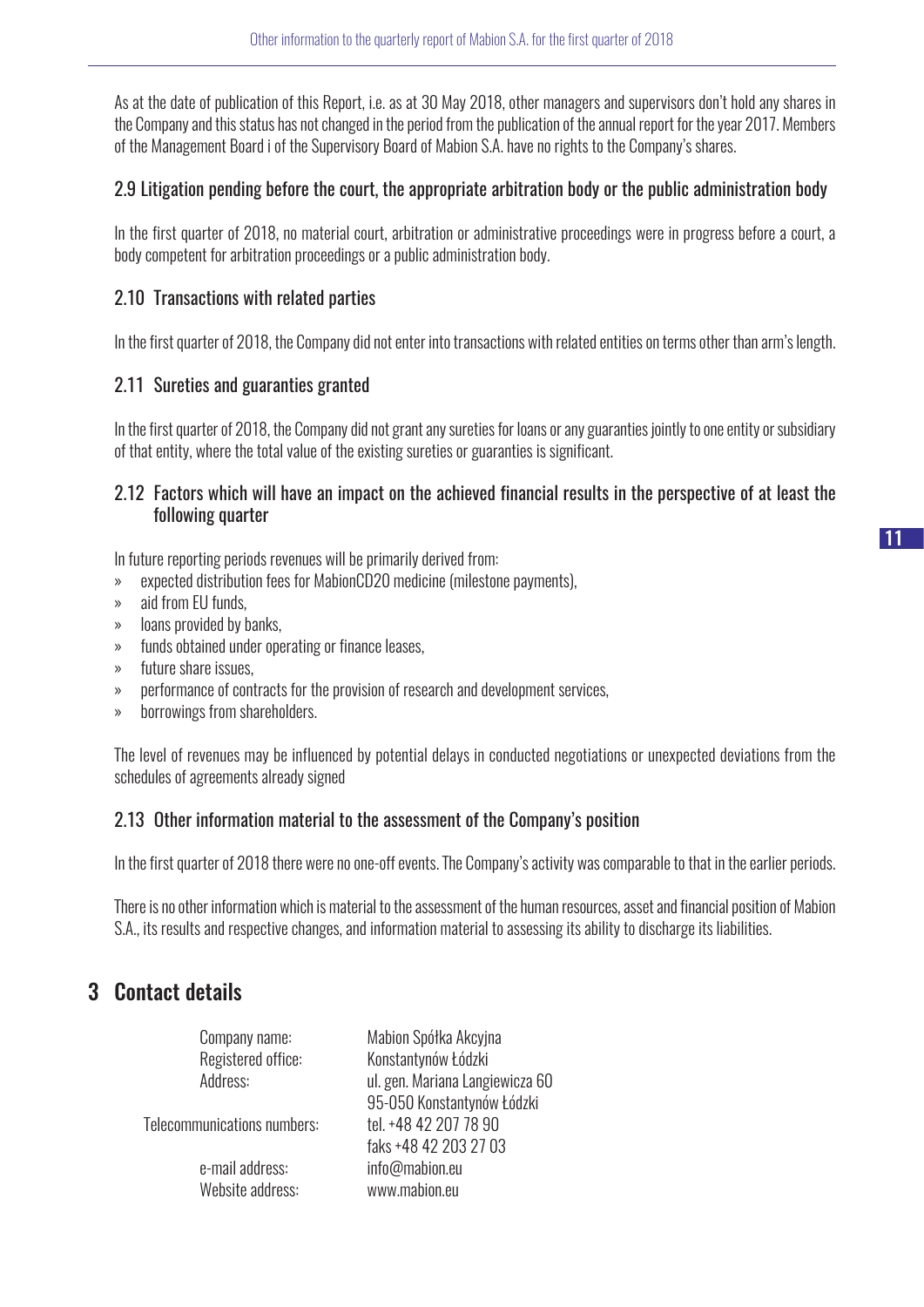As at the date of publication of this Report, i.e. as at 30 May 2018, other managers and supervisors don't hold any shares in the Company and this status has not changed in the period from the publication of the annual report for the year 2017. Members of the Management Board i of the Supervisory Board of Mabion S.A. have no rights to the Company's shares.

#### 2.9 Litigation pending before the court, the appropriate arbitration body or the public administration body

In the first quarter of 2018, no material court, arbitration or administrative proceedings were in progress before a court, a body competent for arbitration proceedings or a public administration body.

#### 2.10 Transactions with related parties

In the first quarter of 2018, the Company did not enter into transactions with related entities on terms other than arm's length.

#### 2.11 Sureties and guaranties granted

In the first quarter of 2018, the Company did not grant any sureties for loans or any guaranties jointly to one entity or subsidiary of that entity, where the total value of the existing sureties or guaranties is significant.

#### 2.12 Factors which will have an impact on the achieved financial results in the perspective of at least the following quarter

In future reporting periods revenues will be primarily derived from:

- » expected distribution fees for MabionCD20 medicine (milestone payments),
- » aid from EU funds,
- » loans provided by banks,
- » funds obtained under operating or finance leases,
- » future share issues,
- » performance of contracts for the provision of research and development services,
- » borrowings from shareholders.

The level of revenues may be influenced by potential delays in conducted negotiations or unexpected deviations from the schedules of agreements already signed

#### 2.13 Other information material to the assessment of the Company's position

In the first quarter of 2018 there were no one-off events. The Company's activity was comparable to that in the earlier periods.

There is no other information which is material to the assessment of the human resources, asset and financial position of Mabion S.A., its results and respective changes, and information material to assessing its ability to discharge its liabilities.

## 3 Contact details

| Mabion Spółka Akcyjna<br>Konstantynów Łódzki                  |
|---------------------------------------------------------------|
| ul. gen. Mariana Langiewicza 60<br>95-050 Konstantynów Łódzki |
| tel. +48 42 207 78 90<br>faks +48 42 203 27 03                |
| info@mabion.eu<br>www.mabion.eu                               |
|                                                               |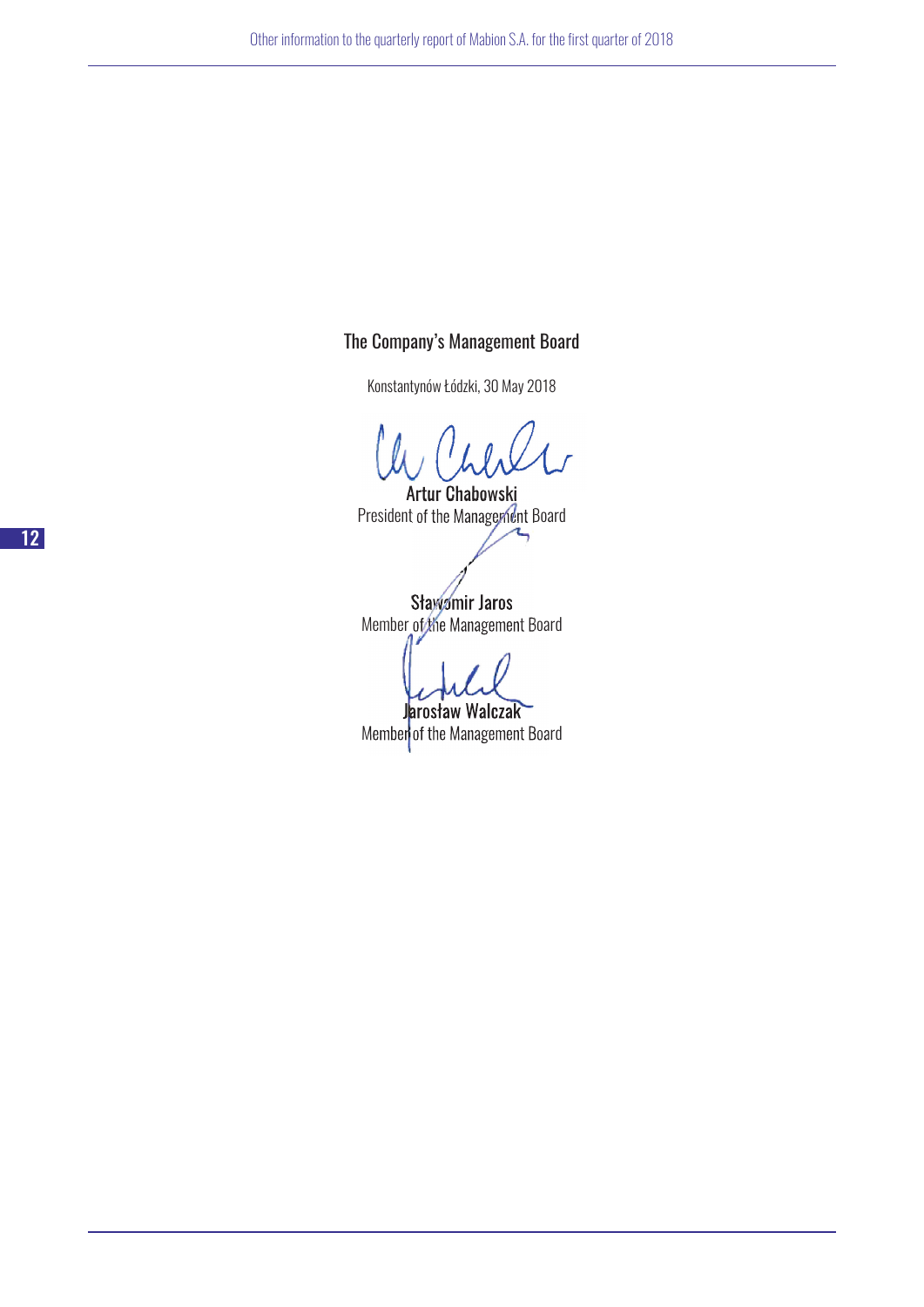### The Company's Management Board

Konstantynów Łódzki, 30 May 2018

Artur Chabowski President of the Management Board

Sławomir Jaros Member of the Management Board

Jarosław Walczak Member of the Management Board